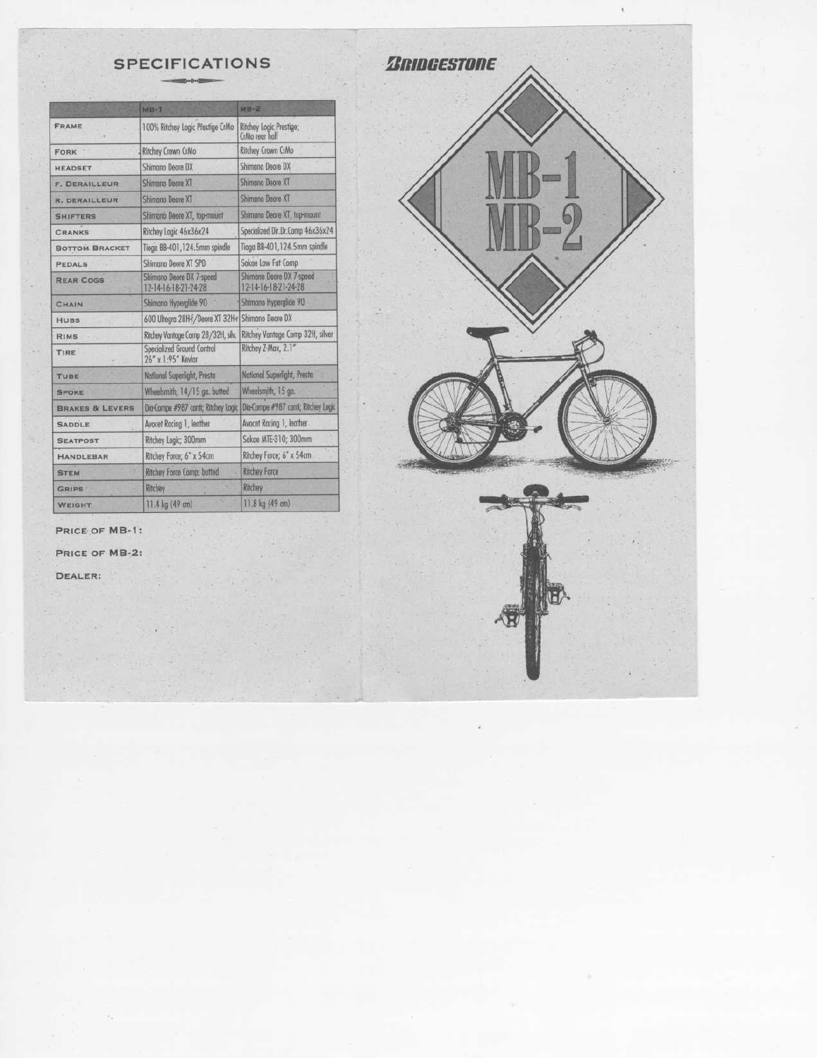|                            | $MB-1$                                           | $MB-2$                                           |
|----------------------------|--------------------------------------------------|--------------------------------------------------|
| FRAME                      | 100% Ritchey Logic Pfestige CrMo                 | Ritchey Logic Prestige;<br>CrMo rear balf        |
| <b>FORK</b>                | Ritchey Crown CrMo                               | Ritchey Crown CrMo                               |
| <b>HEADSET</b>             | Shimano Deore DX                                 | Shimano Deore DX                                 |
| <b>F. DERAILLEUR</b>       | Shimano Deore XT                                 | <b>Shimano Deore XT</b>                          |
| <b>R. DERAILLEUR</b>       | Shimono Deore XT                                 | Shimano Degre XT                                 |
| <b>SHIFTERS</b>            | Shimano Deore XT, top-mount                      | Shimano Deore XT, top-mount                      |
| <b>CRANKS</b>              | Ritchey Logic 46x36x24                           | Specialized Dir.Dr.Comp 46x36x24                 |
| <b>BOTTOM BRACKET</b>      | Tioga BB-401, 124.5mm spindle                    | Tiogo 88-401, 124.5mm spindle                    |
| <b>PEDALS</b>              | Shimano Deore XT SPD                             | Sakae Law Fat Comp                               |
| <b>REAR COGS</b>           | Shimano Deore DX 7-speed<br>12-14-16-18-21-24-28 | Shimano Deare DX 7-speed<br>12-14-16-18-21-24-28 |
| <b>CHAIN</b>               | Shimano Hyperglide 90                            | Shimano Hyperglide 90                            |
| <b>HUBS</b>                | 600 Ultegra 28H-f /Deore XT 32H-r                | Shimono Deore DX                                 |
| <b>RIMS</b>                | Ritchey Vantage Comp 28/32H, silv.               | Ritchey Vantage Comp 32H, silver                 |
| TIRE                       | Specialized Ground Control<br>26" x 1:95" Kevlar | Ritchey Z-Max, 2.1"                              |
| TUBE                       | National Superlight, Presta                      | National Superlight, Presta                      |
| <b>SPOKE</b>               | Wheelsmith, 14/15 ga. butted                     | Wheelsmith, 15 go.                               |
| <b>BRAKES &amp; LEVERS</b> | Dia-Compe #987 contr; Ritchey Logic              | Die-Compe #987 confi; Ritchey Logic              |
| <b>SADDLE</b>              | Avocet Rocing 1, leather                         | Avocet Racing 1, leather                         |
| <b>SEATPOST</b>            | Ritchey Logic; 300mm                             | Sakae MTE-310; 300mm                             |
| <b>HANDLEBAR</b>           | Ritchey Force; 6" x 54cm                         | Ritchey Force; 6° x 54cm                         |
| <b>STEM</b>                | Ritchey Force Comp; butted                       | Ritchey Force                                    |
| GRIPS                      | Ritchey                                          | Ritchey                                          |
| <b>WEIGHT</b>              | 11.4 kg (49 cm)                                  | 11.8 kg (49 cm)                                  |



PRICE OF MB-1:

PRICE OF MB-2:

×

DEALER:

 $\mathcal{L}$ 

 $\epsilon$ 

ī.